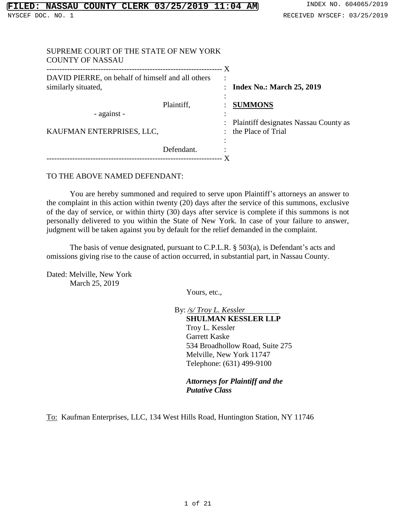| SUPREME COURT OF THE STATE OF NEW YORK<br><b>COUNTY OF NASSAU</b>        |                                                                |
|--------------------------------------------------------------------------|----------------------------------------------------------------|
| DAVID PIERRE, on behalf of himself and all others<br>similarly situated, | ٠<br>$\cdot$<br>: Index No.: March $25, 2019$                  |
| Plaintiff,<br>- against -                                                | <b>SUMMONS</b><br>٠<br>: Plaintiff designates Nassau County as |
| KAUFMAN ENTERPRISES, LLC,                                                | the Place of Trial<br>٠                                        |
| Defendant.                                                               |                                                                |

# TO THE ABOVE NAMED DEFENDANT:

You are hereby summoned and required to serve upon Plaintiff's attorneys an answer to the complaint in this action within twenty (20) days after the service of this summons, exclusive of the day of service, or within thirty (30) days after service is complete if this summons is not personally delivered to you within the State of New York. In case of your failure to answer, judgment will be taken against you by default for the relief demanded in the complaint.

The basis of venue designated, pursuant to C.P.L.R. § 503(a), is Defendant's acts and omissions giving rise to the cause of action occurred, in substantial part, in Nassau County.

Dated: Melville, New York March 25, 2019

Yours, etc.,

By: */s/ Troy L. Kessler* **SHULMAN KESSLER LLP** Troy L. Kessler Garrett Kaske 534 Broadhollow Road, Suite 275 Melville, New York 11747 Telephone: (631) 499-9100

*Attorneys for Plaintiff and the Putative Class*

To: Kaufman Enterprises, LLC, 134 West Hills Road, Huntington Station, NY 11746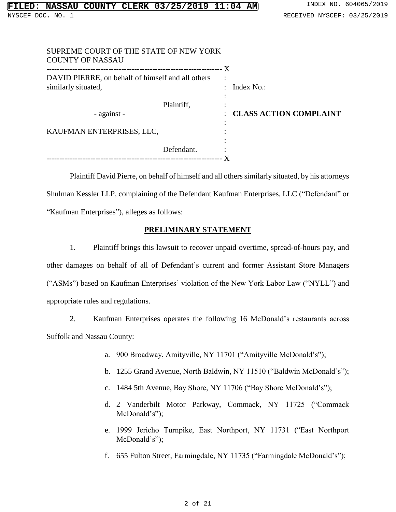| SUPREME COURT OF THE STATE OF NEW YORK<br><b>COUNTY OF NASSAU</b>        |            |                               |
|--------------------------------------------------------------------------|------------|-------------------------------|
| DAVID PIERRE, on behalf of himself and all others<br>similarly situated, |            | ٠<br>: Index No.:             |
| - against -                                                              | Plaintiff, | <b>CLASS ACTION COMPLAINT</b> |
| KAUFMAN ENTERPRISES, LLC,                                                |            |                               |
|                                                                          | Defendant. |                               |
|                                                                          |            |                               |

Plaintiff David Pierre, on behalf of himself and all others similarly situated, by his attorneys Shulman Kessler LLP, complaining of the Defendant Kaufman Enterprises, LLC ("Defendant" or "Kaufman Enterprises"), alleges as follows:

# **PRELIMINARY STATEMENT**

1. Plaintiff brings this lawsuit to recover unpaid overtime, spread-of-hours pay, and other damages on behalf of all of Defendant's current and former Assistant Store Managers ("ASMs") based on Kaufman Enterprises' violation of the New York Labor Law ("NYLL") and appropriate rules and regulations.

2. Kaufman Enterprises operates the following 16 McDonald's restaurants across Suffolk and Nassau County:

- a. 900 Broadway, Amityville, NY 11701 ("Amityville McDonald's");
- b. 1255 Grand Avenue, North Baldwin, NY 11510 ("Baldwin McDonald's");
- c. 1484 5th Avenue, Bay Shore, NY 11706 ("Bay Shore McDonald's");
- d. 2 Vanderbilt Motor Parkway, Commack, NY 11725 ("Commack McDonald's");
- e. 1999 Jericho Turnpike, East Northport, NY 11731 ("East Northport McDonald's");
- f. 655 Fulton Street, Farmingdale, NY 11735 ("Farmingdale McDonald's");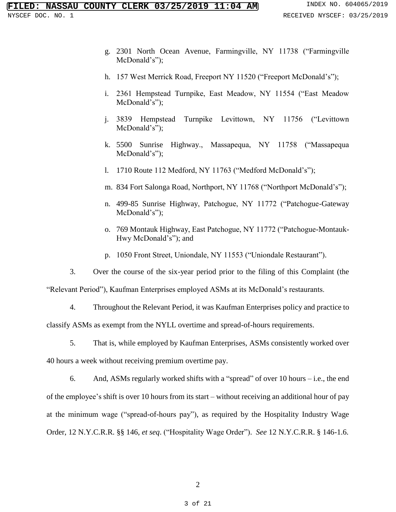- g. 2301 North Ocean Avenue, Farmingville, NY 11738 ("Farmingville McDonald's");
- h. 157 West Merrick Road, Freeport NY 11520 ("Freeport McDonald's");
- i. 2361 Hempstead Turnpike, East Meadow, NY 11554 ("East Meadow McDonald's");
- j. 3839 Hempstead Turnpike Levittown, NY 11756 ("Levittown McDonald's");
- k. 5500 Sunrise Highway., Massapequa, NY 11758 ("Massapequa McDonald's");
- l. 1710 Route 112 Medford, NY 11763 ("Medford McDonald's");
- m. 834 Fort Salonga Road, Northport, NY 11768 ("Northport McDonald's");
- n. 499-85 Sunrise Highway, Patchogue, NY 11772 ("Patchogue-Gateway McDonald's");
- o. 769 Montauk Highway, East Patchogue, NY 11772 ("Patchogue-Montauk-Hwy McDonald's"); and
- p. 1050 Front Street, Uniondale, NY 11553 ("Uniondale Restaurant").

3. Over the course of the six-year period prior to the filing of this Complaint (the

"Relevant Period"), Kaufman Enterprises employed ASMs at its McDonald's restaurants.

4. Throughout the Relevant Period, it was Kaufman Enterprises policy and practice to classify ASMs as exempt from the NYLL overtime and spread-of-hours requirements.

5. That is, while employed by Kaufman Enterprises, ASMs consistently worked over 40 hours a week without receiving premium overtime pay.

6. And, ASMs regularly worked shifts with a "spread" of over 10 hours – i.e., the end of the employee's shift is over 10 hours from its start – without receiving an additional hour of pay at the minimum wage ("spread-of-hours pay"), as required by the Hospitality Industry Wage Order, 12 N.Y.C.R.R. §§ 146, *et seq*. ("Hospitality Wage Order"). *See* 12 N.Y.C.R.R. § 146-1.6.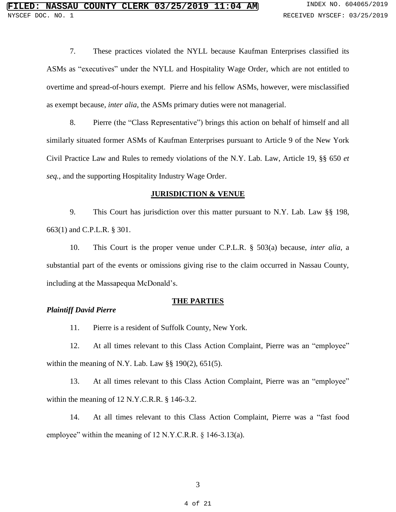7. These practices violated the NYLL because Kaufman Enterprises classified its ASMs as "executives" under the NYLL and Hospitality Wage Order, which are not entitled to overtime and spread-of-hours exempt. Pierre and his fellow ASMs, however, were misclassified as exempt because, *inter alia*, the ASMs primary duties were not managerial.

8. Pierre (the "Class Representative") brings this action on behalf of himself and all similarly situated former ASMs of Kaufman Enterprises pursuant to Article 9 of the New York Civil Practice Law and Rules to remedy violations of the N.Y. Lab. Law, Article 19, §§ 650 *et seq.*, and the supporting Hospitality Industry Wage Order.

#### **JURISDICTION & VENUE**

9. This Court has jurisdiction over this matter pursuant to N.Y. Lab. Law §§ 198, 663(1) and C.P.L.R. § 301.

10. This Court is the proper venue under C.P.L.R. § 503(a) because, *inter alia*, a substantial part of the events or omissions giving rise to the claim occurred in Nassau County, including at the Massapequa McDonald's.

#### **THE PARTIES**

# *Plaintiff David Pierre*

11. Pierre is a resident of Suffolk County, New York.

12. At all times relevant to this Class Action Complaint, Pierre was an "employee" within the meaning of N.Y. Lab. Law  $\S$ § 190(2), 651(5).

13. At all times relevant to this Class Action Complaint, Pierre was an "employee" within the meaning of 12 N.Y.C.R.R. § 146-3.2.

14. At all times relevant to this Class Action Complaint, Pierre was a "fast food employee" within the meaning of 12 N.Y.C.R.R. § 146-3.13(a).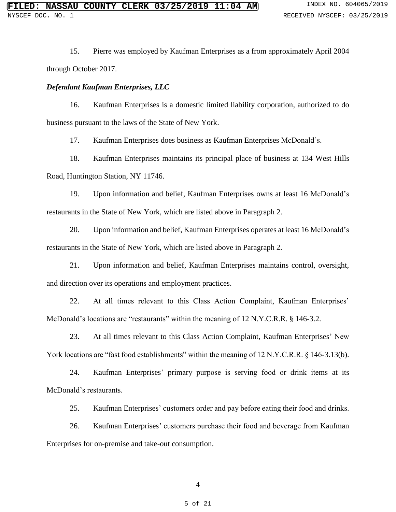15. Pierre was employed by Kaufman Enterprises as a from approximately April 2004 through October 2017.

# *Defendant Kaufman Enterprises, LLC*

16. Kaufman Enterprises is a domestic limited liability corporation, authorized to do business pursuant to the laws of the State of New York.

17. Kaufman Enterprises does business as Kaufman Enterprises McDonald's.

18. Kaufman Enterprises maintains its principal place of business at 134 West Hills Road, Huntington Station, NY 11746.

19. Upon information and belief, Kaufman Enterprises owns at least 16 McDonald's restaurants in the State of New York, which are listed above in Paragraph 2.

20. Upon information and belief, Kaufman Enterprises operates at least 16 McDonald's restaurants in the State of New York, which are listed above in Paragraph 2.

21. Upon information and belief, Kaufman Enterprises maintains control, oversight, and direction over its operations and employment practices.

22. At all times relevant to this Class Action Complaint, Kaufman Enterprises' McDonald's locations are "restaurants" within the meaning of 12 N.Y.C.R.R. § 146-3.2.

23. At all times relevant to this Class Action Complaint, Kaufman Enterprises' New York locations are "fast food establishments" within the meaning of 12 N.Y.C.R.R. § 146-3.13(b).

24. Kaufman Enterprises' primary purpose is serving food or drink items at its McDonald's restaurants.

25. Kaufman Enterprises' customers order and pay before eating their food and drinks.

26. Kaufman Enterprises' customers purchase their food and beverage from Kaufman Enterprises for on-premise and take-out consumption.

4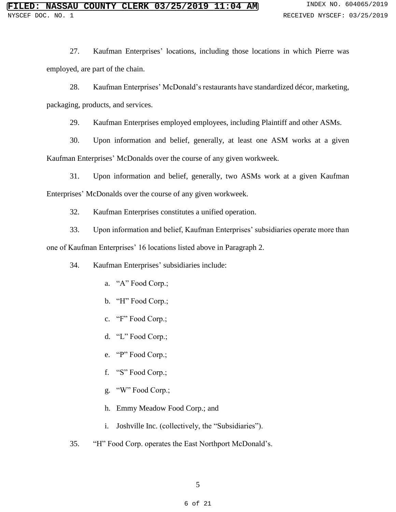27. Kaufman Enterprises' locations, including those locations in which Pierre was employed, are part of the chain.

28. Kaufman Enterprises' McDonald's restaurants have standardized décor, marketing, packaging, products, and services.

29. Kaufman Enterprises employed employees, including Plaintiff and other ASMs.

30. Upon information and belief, generally, at least one ASM works at a given Kaufman Enterprises' McDonalds over the course of any given workweek.

31. Upon information and belief, generally, two ASMs work at a given Kaufman Enterprises' McDonalds over the course of any given workweek.

32. Kaufman Enterprises constitutes a unified operation.

33. Upon information and belief, Kaufman Enterprises' subsidiaries operate more than one of Kaufman Enterprises' 16 locations listed above in Paragraph 2.

34. Kaufman Enterprises' subsidiaries include:

- a. "A" Food Corp.;
- b. "H" Food Corp.;
- c. "F" Food Corp.;
- d. "L" Food Corp.;
- e. "P" Food Corp.;
- f. "S" Food Corp.;
- g. "W" Food Corp.;
- h. Emmy Meadow Food Corp.; and
- i. Joshville Inc. (collectively, the "Subsidiaries").
- 35. "H" Food Corp. operates the East Northport McDonald's.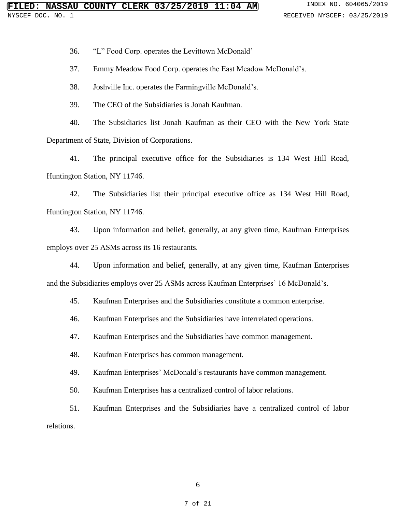36. "L" Food Corp. operates the Levittown McDonald'

37. Emmy Meadow Food Corp. operates the East Meadow McDonald's.

38. Joshville Inc. operates the Farmingville McDonald's.

39. The CEO of the Subsidiaries is Jonah Kaufman.

40. The Subsidiaries list Jonah Kaufman as their CEO with the New York State Department of State, Division of Corporations.

41. The principal executive office for the Subsidiaries is 134 West Hill Road, Huntington Station, NY 11746.

42. The Subsidiaries list their principal executive office as 134 West Hill Road, Huntington Station, NY 11746.

43. Upon information and belief, generally, at any given time, Kaufman Enterprises employs over 25 ASMs across its 16 restaurants.

44. Upon information and belief, generally, at any given time, Kaufman Enterprises and the Subsidiaries employs over 25 ASMs across Kaufman Enterprises' 16 McDonald's.

45. Kaufman Enterprises and the Subsidiaries constitute a common enterprise.

46. Kaufman Enterprises and the Subsidiaries have interrelated operations.

47. Kaufman Enterprises and the Subsidiaries have common management.

48. Kaufman Enterprises has common management.

49. Kaufman Enterprises' McDonald's restaurants have common management.

50. Kaufman Enterprises has a centralized control of labor relations.

51. Kaufman Enterprises and the Subsidiaries have a centralized control of labor relations.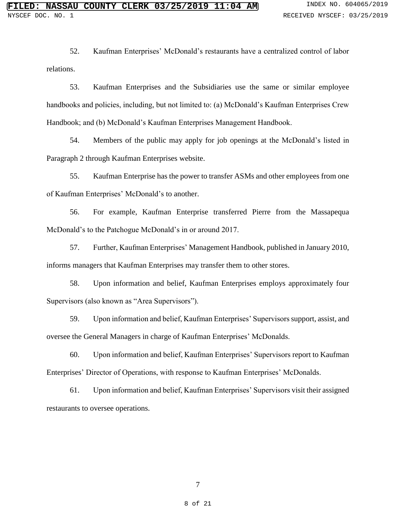52. Kaufman Enterprises' McDonald's restaurants have a centralized control of labor relations.

53. Kaufman Enterprises and the Subsidiaries use the same or similar employee handbooks and policies, including, but not limited to: (a) McDonald's Kaufman Enterprises Crew Handbook; and (b) McDonald's Kaufman Enterprises Management Handbook.

54. Members of the public may apply for job openings at the McDonald's listed in Paragraph 2 through Kaufman Enterprises website.

55. Kaufman Enterprise has the power to transfer ASMs and other employees from one of Kaufman Enterprises' McDonald's to another.

56. For example, Kaufman Enterprise transferred Pierre from the Massapequa McDonald's to the Patchogue McDonald's in or around 2017.

57. Further, Kaufman Enterprises' Management Handbook, published in January 2010, informs managers that Kaufman Enterprises may transfer them to other stores.

58. Upon information and belief, Kaufman Enterprises employs approximately four Supervisors (also known as "Area Supervisors").

59. Upon information and belief, Kaufman Enterprises' Supervisors support, assist, and oversee the General Managers in charge of Kaufman Enterprises' McDonalds.

60. Upon information and belief, Kaufman Enterprises' Supervisors report to Kaufman Enterprises' Director of Operations, with response to Kaufman Enterprises' McDonalds.

61. Upon information and belief, Kaufman Enterprises' Supervisors visit their assigned restaurants to oversee operations.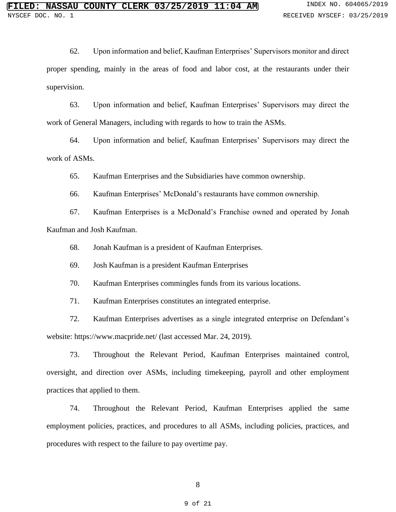62. Upon information and belief, Kaufman Enterprises' Supervisors monitor and direct proper spending, mainly in the areas of food and labor cost, at the restaurants under their supervision.

63. Upon information and belief, Kaufman Enterprises' Supervisors may direct the work of General Managers, including with regards to how to train the ASMs.

64. Upon information and belief, Kaufman Enterprises' Supervisors may direct the work of ASMs.

65. Kaufman Enterprises and the Subsidiaries have common ownership.

66. Kaufman Enterprises' McDonald's restaurants have common ownership.

67. Kaufman Enterprises is a McDonald's Franchise owned and operated by Jonah Kaufman and Josh Kaufman.

68. Jonah Kaufman is a president of Kaufman Enterprises.

69. Josh Kaufman is a president Kaufman Enterprises

70. Kaufman Enterprises commingles funds from its various locations.

71. Kaufman Enterprises constitutes an integrated enterprise.

72. Kaufman Enterprises advertises as a single integrated enterprise on Defendant's website: https://www.macpride.net/ (last accessed Mar. 24, 2019).

73. Throughout the Relevant Period, Kaufman Enterprises maintained control, oversight, and direction over ASMs, including timekeeping, payroll and other employment practices that applied to them.

74. Throughout the Relevant Period, Kaufman Enterprises applied the same employment policies, practices, and procedures to all ASMs, including policies, practices, and procedures with respect to the failure to pay overtime pay.

8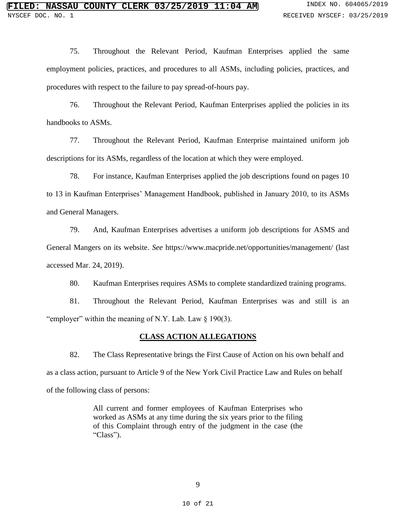75. Throughout the Relevant Period, Kaufman Enterprises applied the same employment policies, practices, and procedures to all ASMs, including policies, practices, and procedures with respect to the failure to pay spread-of-hours pay.

76. Throughout the Relevant Period, Kaufman Enterprises applied the policies in its handbooks to ASMs.

77. Throughout the Relevant Period, Kaufman Enterprise maintained uniform job descriptions for its ASMs, regardless of the location at which they were employed.

78. For instance, Kaufman Enterprises applied the job descriptions found on pages 10 to 13 in Kaufman Enterprises' Management Handbook, published in January 2010, to its ASMs and General Managers.

79. And, Kaufman Enterprises advertises a uniform job descriptions for ASMS and General Mangers on its website. *See* https://www.macpride.net/opportunities/management/ (last accessed Mar. 24, 2019).

80. Kaufman Enterprises requires ASMs to complete standardized training programs.

81. Throughout the Relevant Period, Kaufman Enterprises was and still is an "employer" within the meaning of N.Y. Lab. Law § 190(3).

#### **CLASS ACTION ALLEGATIONS**

82. The Class Representative brings the First Cause of Action on his own behalf and as a class action, pursuant to Article 9 of the New York Civil Practice Law and Rules on behalf of the following class of persons:

> All current and former employees of Kaufman Enterprises who worked as ASMs at any time during the six years prior to the filing of this Complaint through entry of the judgment in the case (the "Class").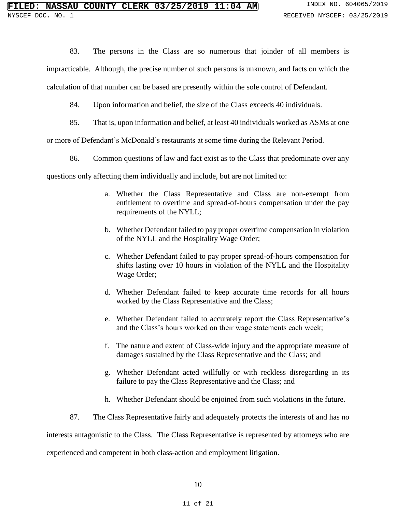83. The persons in the Class are so numerous that joinder of all members is

impracticable. Although, the precise number of such persons is unknown, and facts on which the

calculation of that number can be based are presently within the sole control of Defendant.

- 84. Upon information and belief, the size of the Class exceeds 40 individuals.
- 85. That is, upon information and belief, at least 40 individuals worked as ASMs at one

or more of Defendant's McDonald's restaurants at some time during the Relevant Period.

86. Common questions of law and fact exist as to the Class that predominate over any

questions only affecting them individually and include, but are not limited to:

- a. Whether the Class Representative and Class are non-exempt from entitlement to overtime and spread-of-hours compensation under the pay requirements of the NYLL;
- b. Whether Defendant failed to pay proper overtime compensation in violation of the NYLL and the Hospitality Wage Order;
- c. Whether Defendant failed to pay proper spread-of-hours compensation for shifts lasting over 10 hours in violation of the NYLL and the Hospitality Wage Order;
- d. Whether Defendant failed to keep accurate time records for all hours worked by the Class Representative and the Class;
- e. Whether Defendant failed to accurately report the Class Representative's and the Class's hours worked on their wage statements each week;
- f. The nature and extent of Class-wide injury and the appropriate measure of damages sustained by the Class Representative and the Class; and
- g. Whether Defendant acted willfully or with reckless disregarding in its failure to pay the Class Representative and the Class; and
- h. Whether Defendant should be enjoined from such violations in the future.

87. The Class Representative fairly and adequately protects the interests of and has no

interests antagonistic to the Class. The Class Representative is represented by attorneys who are

experienced and competent in both class-action and employment litigation.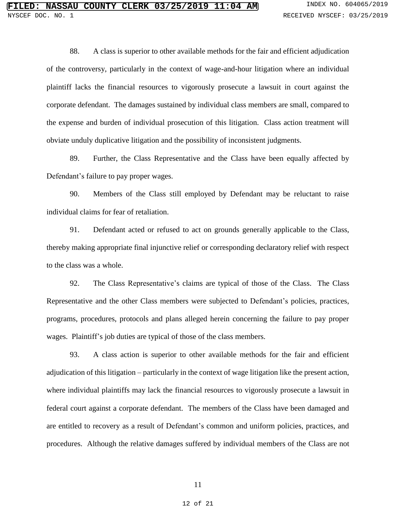88. A class is superior to other available methods for the fair and efficient adjudication of the controversy, particularly in the context of wage-and-hour litigation where an individual plaintiff lacks the financial resources to vigorously prosecute a lawsuit in court against the corporate defendant. The damages sustained by individual class members are small, compared to the expense and burden of individual prosecution of this litigation. Class action treatment will obviate unduly duplicative litigation and the possibility of inconsistent judgments.

89. Further, the Class Representative and the Class have been equally affected by Defendant's failure to pay proper wages.

90. Members of the Class still employed by Defendant may be reluctant to raise individual claims for fear of retaliation.

91. Defendant acted or refused to act on grounds generally applicable to the Class, thereby making appropriate final injunctive relief or corresponding declaratory relief with respect to the class was a whole.

92. The Class Representative's claims are typical of those of the Class. The Class Representative and the other Class members were subjected to Defendant's policies, practices, programs, procedures, protocols and plans alleged herein concerning the failure to pay proper wages. Plaintiff's job duties are typical of those of the class members.

93. A class action is superior to other available methods for the fair and efficient adjudication of this litigation – particularly in the context of wage litigation like the present action, where individual plaintiffs may lack the financial resources to vigorously prosecute a lawsuit in federal court against a corporate defendant. The members of the Class have been damaged and are entitled to recovery as a result of Defendant's common and uniform policies, practices, and procedures. Although the relative damages suffered by individual members of the Class are not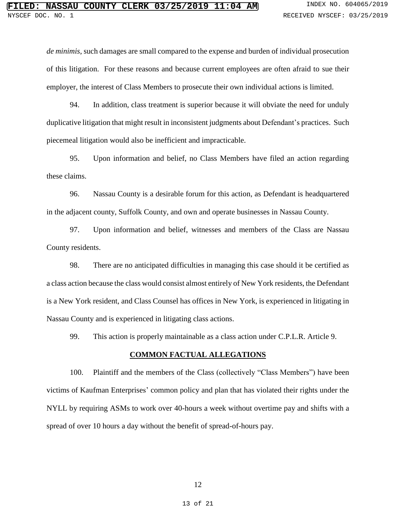*de minimis*, such damages are small compared to the expense and burden of individual prosecution of this litigation. For these reasons and because current employees are often afraid to sue their employer, the interest of Class Members to prosecute their own individual actions is limited.

94. In addition, class treatment is superior because it will obviate the need for unduly duplicative litigation that might result in inconsistent judgments about Defendant's practices. Such piecemeal litigation would also be inefficient and impracticable.

95. Upon information and belief, no Class Members have filed an action regarding these claims.

96. Nassau County is a desirable forum for this action, as Defendant is headquartered in the adjacent county, Suffolk County, and own and operate businesses in Nassau County.

97. Upon information and belief, witnesses and members of the Class are Nassau County residents.

98. There are no anticipated difficulties in managing this case should it be certified as a class action because the class would consist almost entirely of New York residents, the Defendant is a New York resident, and Class Counsel has offices in New York, is experienced in litigating in Nassau County and is experienced in litigating class actions.

99. This action is properly maintainable as a class action under C.P.L.R. Article 9.

#### **COMMON FACTUAL ALLEGATIONS**

100. Plaintiff and the members of the Class (collectively "Class Members") have been victims of Kaufman Enterprises' common policy and plan that has violated their rights under the NYLL by requiring ASMs to work over 40-hours a week without overtime pay and shifts with a spread of over 10 hours a day without the benefit of spread-of-hours pay.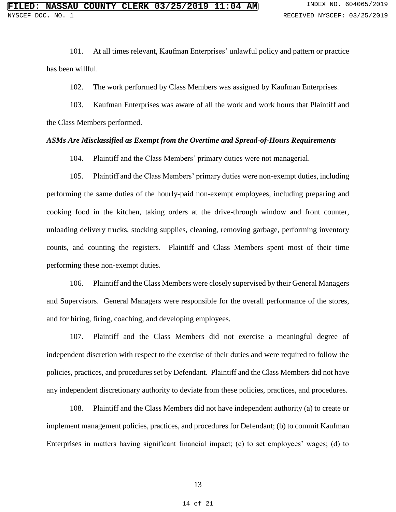101. At all times relevant, Kaufman Enterprises' unlawful policy and pattern or practice has been willful.

102. The work performed by Class Members was assigned by Kaufman Enterprises.

103. Kaufman Enterprises was aware of all the work and work hours that Plaintiff and the Class Members performed.

#### *ASMs Are Misclassified as Exempt from the Overtime and Spread-of-Hours Requirements*

104. Plaintiff and the Class Members' primary duties were not managerial.

105. Plaintiff and the Class Members' primary duties were non-exempt duties, including performing the same duties of the hourly-paid non-exempt employees, including preparing and cooking food in the kitchen, taking orders at the drive-through window and front counter, unloading delivery trucks, stocking supplies, cleaning, removing garbage, performing inventory counts, and counting the registers. Plaintiff and Class Members spent most of their time performing these non-exempt duties.

106. Plaintiff and the Class Members were closely supervised by their General Managers and Supervisors. General Managers were responsible for the overall performance of the stores, and for hiring, firing, coaching, and developing employees.

107. Plaintiff and the Class Members did not exercise a meaningful degree of independent discretion with respect to the exercise of their duties and were required to follow the policies, practices, and procedures set by Defendant. Plaintiff and the Class Members did not have any independent discretionary authority to deviate from these policies, practices, and procedures.

108. Plaintiff and the Class Members did not have independent authority (a) to create or implement management policies, practices, and procedures for Defendant; (b) to commit Kaufman Enterprises in matters having significant financial impact; (c) to set employees' wages; (d) to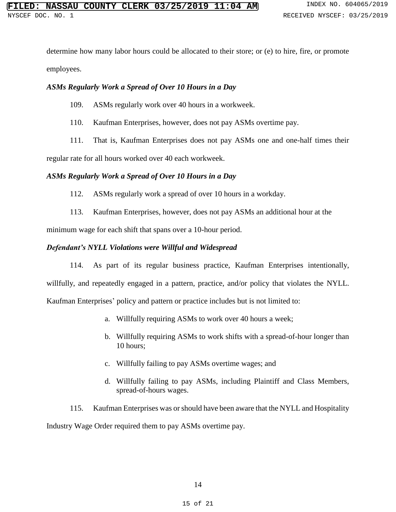determine how many labor hours could be allocated to their store; or (e) to hire, fire, or promote employees.

# *ASMs Regularly Work a Spread of Over 10 Hours in a Day*

109. ASMs regularly work over 40 hours in a workweek.

110. Kaufman Enterprises, however, does not pay ASMs overtime pay.

111. That is, Kaufman Enterprises does not pay ASMs one and one-half times their

regular rate for all hours worked over 40 each workweek.

#### *ASMs Regularly Work a Spread of Over 10 Hours in a Day*

112. ASMs regularly work a spread of over 10 hours in a workday.

113. Kaufman Enterprises, however, does not pay ASMs an additional hour at the

minimum wage for each shift that spans over a 10-hour period.

### *Defendant's NYLL Violations were Willful and Widespread*

114. As part of its regular business practice, Kaufman Enterprises intentionally, willfully, and repeatedly engaged in a pattern, practice, and/or policy that violates the NYLL. Kaufman Enterprises' policy and pattern or practice includes but is not limited to:

- a. Willfully requiring ASMs to work over 40 hours a week;
- b. Willfully requiring ASMs to work shifts with a spread-of-hour longer than 10 hours;
- c. Willfully failing to pay ASMs overtime wages; and
- d. Willfully failing to pay ASMs, including Plaintiff and Class Members, spread-of-hours wages.

115. Kaufman Enterprises was or should have been aware that the NYLL and Hospitality Industry Wage Order required them to pay ASMs overtime pay.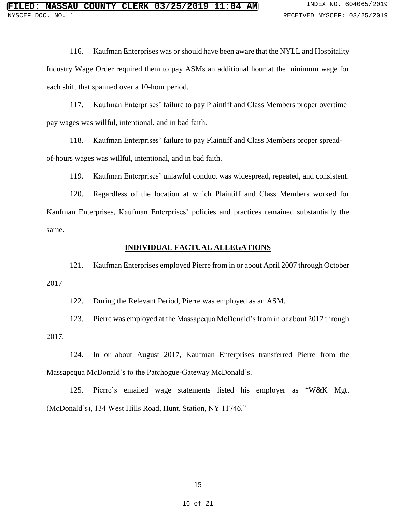116. Kaufman Enterprises was or should have been aware that the NYLL and Hospitality Industry Wage Order required them to pay ASMs an additional hour at the minimum wage for each shift that spanned over a 10-hour period.

117. Kaufman Enterprises' failure to pay Plaintiff and Class Members proper overtime pay wages was willful, intentional, and in bad faith.

118. Kaufman Enterprises' failure to pay Plaintiff and Class Members proper spreadof-hours wages was willful, intentional, and in bad faith.

119. Kaufman Enterprises' unlawful conduct was widespread, repeated, and consistent.

120. Regardless of the location at which Plaintiff and Class Members worked for Kaufman Enterprises, Kaufman Enterprises' policies and practices remained substantially the same.

#### **INDIVIDUAL FACTUAL ALLEGATIONS**

121. Kaufman Enterprises employed Pierre from in or about April 2007 through October 2017

122. During the Relevant Period, Pierre was employed as an ASM.

123. Pierre was employed at the Massapequa McDonald's from in or about 2012 through 2017.

124. In or about August 2017, Kaufman Enterprises transferred Pierre from the Massapequa McDonald's to the Patchogue-Gateway McDonald's.

125. Pierre's emailed wage statements listed his employer as "W&K Mgt. (McDonald's), 134 West Hills Road, Hunt. Station, NY 11746."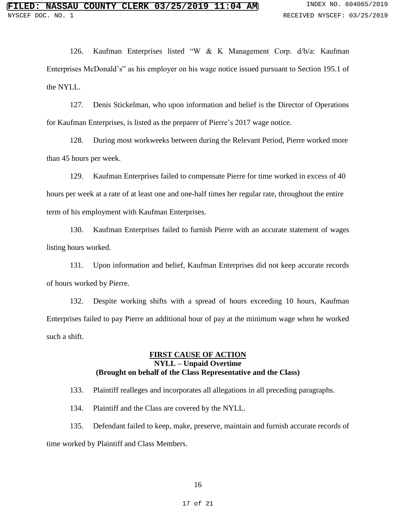126. Kaufman Enterprises listed "W & K Management Corp. d/b/a: Kaufman Enterprises McDonald's" as his employer on his wage notice issued pursuant to Section 195.1 of the NYLL.

127. Denis Stickelman, who upon information and belief is the Director of Operations for Kaufman Enterprises, is listed as the preparer of Pierre's 2017 wage notice.

128. During most workweeks between during the Relevant Period, Pierre worked more than 45 hours per week.

129. Kaufman Enterprises failed to compensate Pierre for time worked in excess of 40 hours per week at a rate of at least one and one-half times her regular rate, throughout the entire term of his employment with Kaufman Enterprises.

130. Kaufman Enterprises failed to furnish Pierre with an accurate statement of wages listing hours worked.

131. Upon information and belief, Kaufman Enterprises did not keep accurate records of hours worked by Pierre.

132. Despite working shifts with a spread of hours exceeding 10 hours, Kaufman Enterprises failed to pay Pierre an additional hour of pay at the minimum wage when he worked such a shift.

### **FIRST CAUSE OF ACTION NYLL – Unpaid Overtime (Brought on behalf of the Class Representative and the Class)**

133. Plaintiff realleges and incorporates all allegations in all preceding paragraphs.

134. Plaintiff and the Class are covered by the NYLL.

135. Defendant failed to keep, make, preserve, maintain and furnish accurate records of time worked by Plaintiff and Class Members.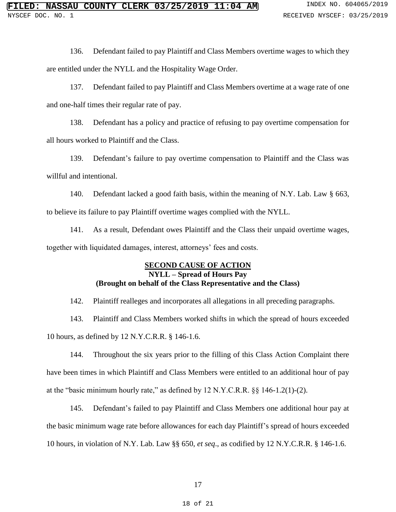136. Defendant failed to pay Plaintiff and Class Members overtime wages to which they are entitled under the NYLL and the Hospitality Wage Order.

137. Defendant failed to pay Plaintiff and Class Members overtime at a wage rate of one and one-half times their regular rate of pay.

138. Defendant has a policy and practice of refusing to pay overtime compensation for all hours worked to Plaintiff and the Class.

139. Defendant's failure to pay overtime compensation to Plaintiff and the Class was willful and intentional.

140. Defendant lacked a good faith basis, within the meaning of N.Y. Lab. Law § 663, to believe its failure to pay Plaintiff overtime wages complied with the NYLL.

141. As a result, Defendant owes Plaintiff and the Class their unpaid overtime wages, together with liquidated damages, interest, attorneys' fees and costs.

# **SECOND CAUSE OF ACTION NYLL – Spread of Hours Pay (Brought on behalf of the Class Representative and the Class)**

142. Plaintiff realleges and incorporates all allegations in all preceding paragraphs.

143. Plaintiff and Class Members worked shifts in which the spread of hours exceeded 10 hours, as defined by 12 N.Y.C.R.R. § 146-1.6.

144. Throughout the six years prior to the filling of this Class Action Complaint there have been times in which Plaintiff and Class Members were entitled to an additional hour of pay at the "basic minimum hourly rate," as defined by 12 N.Y.C.R.R. §§ 146-1.2(1)-(2).

145. Defendant's failed to pay Plaintiff and Class Members one additional hour pay at the basic minimum wage rate before allowances for each day Plaintiff's spread of hours exceeded 10 hours, in violation of N.Y. Lab. Law §§ 650, *et seq*., as codified by 12 N.Y.C.R.R. § 146-1.6.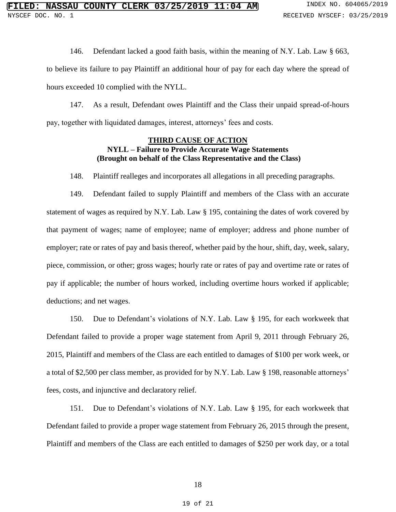146. Defendant lacked a good faith basis, within the meaning of N.Y. Lab. Law § 663,

to believe its failure to pay Plaintiff an additional hour of pay for each day where the spread of hours exceeded 10 complied with the NYLL.

147. As a result, Defendant owes Plaintiff and the Class their unpaid spread-of-hours pay, together with liquidated damages, interest, attorneys' fees and costs.

# **THIRD CAUSE OF ACTION NYLL – Failure to Provide Accurate Wage Statements (Brought on behalf of the Class Representative and the Class)**

148. Plaintiff realleges and incorporates all allegations in all preceding paragraphs.

149. Defendant failed to supply Plaintiff and members of the Class with an accurate statement of wages as required by N.Y. Lab. Law § 195, containing the dates of work covered by that payment of wages; name of employee; name of employer; address and phone number of employer; rate or rates of pay and basis thereof, whether paid by the hour, shift, day, week, salary, piece, commission, or other; gross wages; hourly rate or rates of pay and overtime rate or rates of pay if applicable; the number of hours worked, including overtime hours worked if applicable; deductions; and net wages.

150. Due to Defendant's violations of N.Y. Lab. Law § 195, for each workweek that Defendant failed to provide a proper wage statement from April 9, 2011 through February 26, 2015, Plaintiff and members of the Class are each entitled to damages of \$100 per work week, or a total of \$2,500 per class member, as provided for by N.Y. Lab. Law § 198, reasonable attorneys' fees, costs, and injunctive and declaratory relief.

151. Due to Defendant's violations of N.Y. Lab. Law § 195, for each workweek that Defendant failed to provide a proper wage statement from February 26, 2015 through the present, Plaintiff and members of the Class are each entitled to damages of \$250 per work day, or a total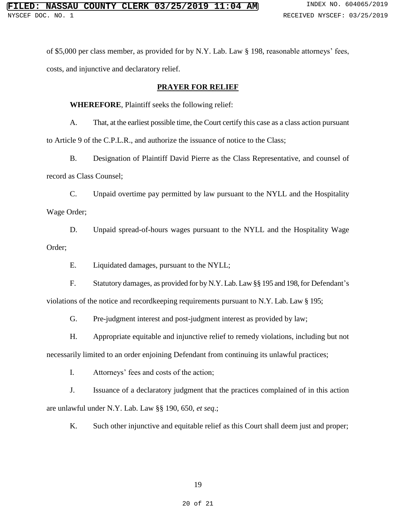of \$5,000 per class member, as provided for by N.Y. Lab. Law § 198, reasonable attorneys' fees, costs, and injunctive and declaratory relief.

**PRAYER FOR RELIEF**

### **WHEREFORE**, Plaintiff seeks the following relief:

A. That, at the earliest possible time, the Court certify this case as a class action pursuant to Article 9 of the C.P.L.R., and authorize the issuance of notice to the Class;

B. Designation of Plaintiff David Pierre as the Class Representative, and counsel of record as Class Counsel;

C. Unpaid overtime pay permitted by law pursuant to the NYLL and the Hospitality Wage Order;

D. Unpaid spread-of-hours wages pursuant to the NYLL and the Hospitality Wage Order;

E. Liquidated damages, pursuant to the NYLL;

F. Statutory damages, as provided for by N.Y. Lab. Law §§ 195 and 198, for Defendant's violations of the notice and recordkeeping requirements pursuant to N.Y. Lab. Law § 195;

G. Pre-judgment interest and post-judgment interest as provided by law;

H. Appropriate equitable and injunctive relief to remedy violations, including but not necessarily limited to an order enjoining Defendant from continuing its unlawful practices;

I. Attorneys' fees and costs of the action;

J. Issuance of a declaratory judgment that the practices complained of in this action are unlawful under N.Y. Lab. Law §§ 190, 650, *et seq*.;

K. Such other injunctive and equitable relief as this Court shall deem just and proper;